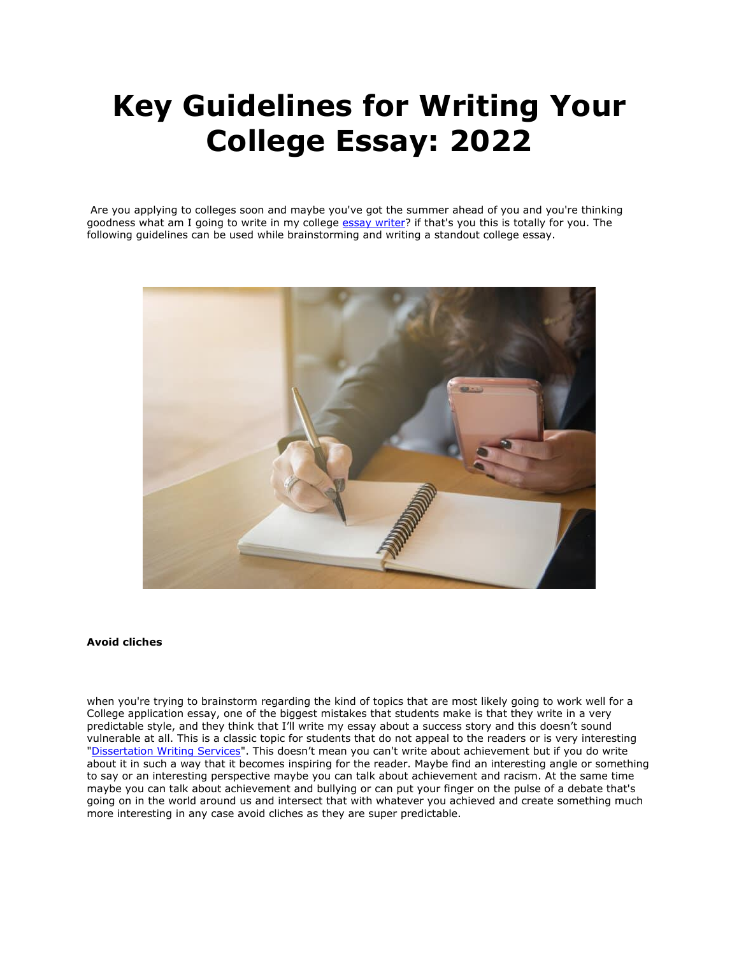# **Key Guidelines for Writing Your College Essay: 2022**

Are you applying to colleges soon and maybe you've got the summer ahead of you and you're thinking goodness what am I going to write in my college [essay writer?](https://essayhours.com/) if that's you this is totally for you. The following guidelines can be used while brainstorming and writing a standout college essay.



#### **Avoid cliches**

when you're trying to brainstorm regarding the kind of topics that are most likely going to work well for a College application essay, one of the biggest mistakes that students make is that they write in a very predictable style, and they think that I'll write my essay about a success story and this doesn't sound vulnerable at all. This is a classic topic for students that do not appeal to the readers or is very interesting ["Dissertation Writing Services](https://gradschoolgenius.com/)". This doesn't mean you can't write about achievement but if you do write about it in such a way that it becomes inspiring for the reader. Maybe find an interesting angle or something to say or an interesting perspective maybe you can talk about achievement and racism. At the same time maybe you can talk about achievement and bullying or can put your finger on the pulse of a debate that's going on in the world around us and intersect that with whatever you achieved and create something much more interesting in any case avoid cliches as they are super predictable.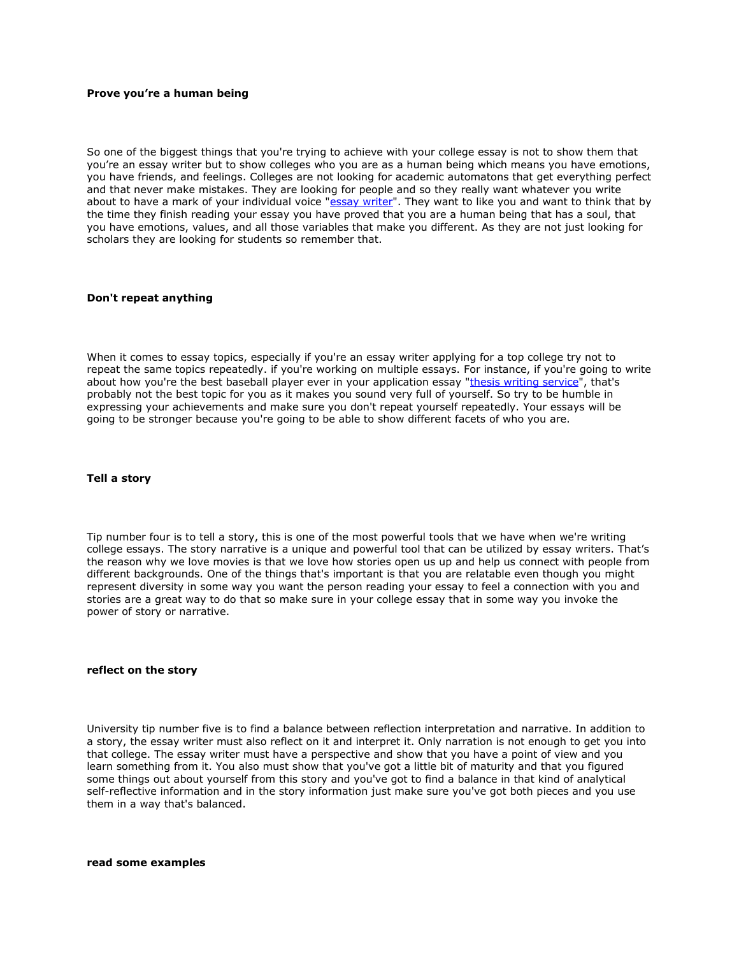## **Prove you're a human being**

So one of the biggest things that you're trying to achieve with your college essay is not to show them that you're an essay writer but to show colleges who you are as a human being which means you have emotions, you have friends, and feelings. Colleges are not looking for academic automatons that get everything perfect and that never make mistakes. They are looking for people and so they really want whatever you write about to have a mark of your individual voice ["essay writer"](https://www.freeessaywriter.net/). They want to like you and want to think that by the time they finish reading your essay you have proved that you are a human being that has a soul, that you have emotions, values, and all those variables that make you different. As they are not just looking for scholars they are looking for students so remember that.

### **Don't repeat anything**

When it comes to essay topics, especially if you're an essay writer applying for a top college try not to repeat the same topics repeatedly. if you're working on multiple essays. For instance, if you're going to write about how you're the best baseball player ever in your application essay ["thesis writing service"](https://gradschoolgenius.com/), that's probably not the best topic for you as it makes you sound very full of yourself. So try to be humble in expressing your achievements and make sure you don't repeat yourself repeatedly. Your essays will be going to be stronger because you're going to be able to show different facets of who you are.

### **Tell a story**

Tip number four is to tell a story, this is one of the most powerful tools that we have when we're writing college essays. The story narrative is a unique and powerful tool that can be utilized by essay writers. That's the reason why we love movies is that we love how stories open us up and help us connect with people from different backgrounds. One of the things that's important is that you are relatable even though you might represent diversity in some way you want the person reading your essay to feel a connection with you and stories are a great way to do that so make sure in your college essay that in some way you invoke the power of story or narrative.

# **reflect on the story**

University tip number five is to find a balance between reflection interpretation and narrative. In addition to a story, the essay writer must also reflect on it and interpret it. Only narration is not enough to get you into that college. The essay writer must have a perspective and show that you have a point of view and you learn something from it. You also must show that you've got a little bit of maturity and that you figured some things out about yourself from this story and you've got to find a balance in that kind of analytical self-reflective information and in the story information just make sure you've got both pieces and you use them in a way that's balanced.

**read some examples**